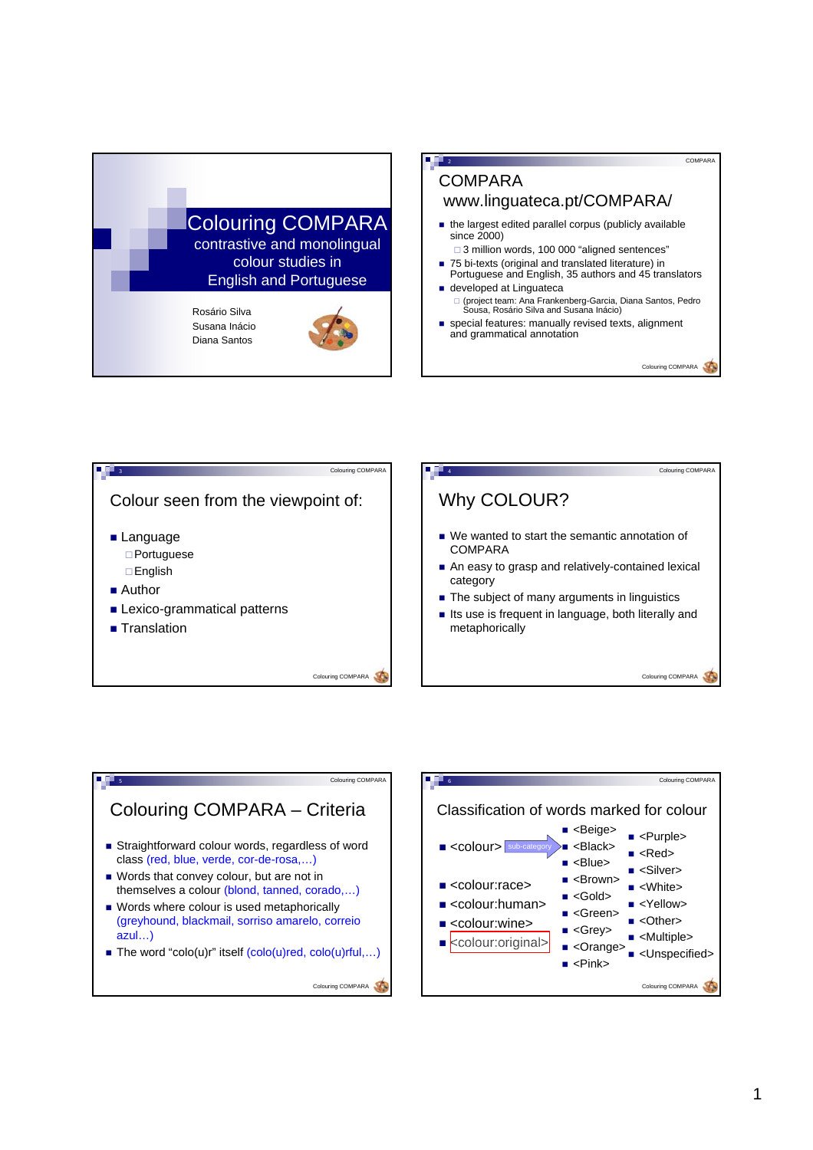

## **COMPARA** www.linguateca.pt/COMPARA/

2

- the largest edited parallel corpus (publicly available since 2000)
- □ 3 million words, 100 000 "aligned sentences"
- 75 bi-texts (original and translated literature) in Portuguese and English, 35 authors and 45 translators ■ developed at Linguateca
- □ (project team: Ana Frankenberg-Garcia, Diana Santos, Pedro<br>Sousa, Rosário Silva and Susana Inácio)
- special features: manually revised texts, alignment and grammatical annotation

Colouring COMPARA

COMPARA





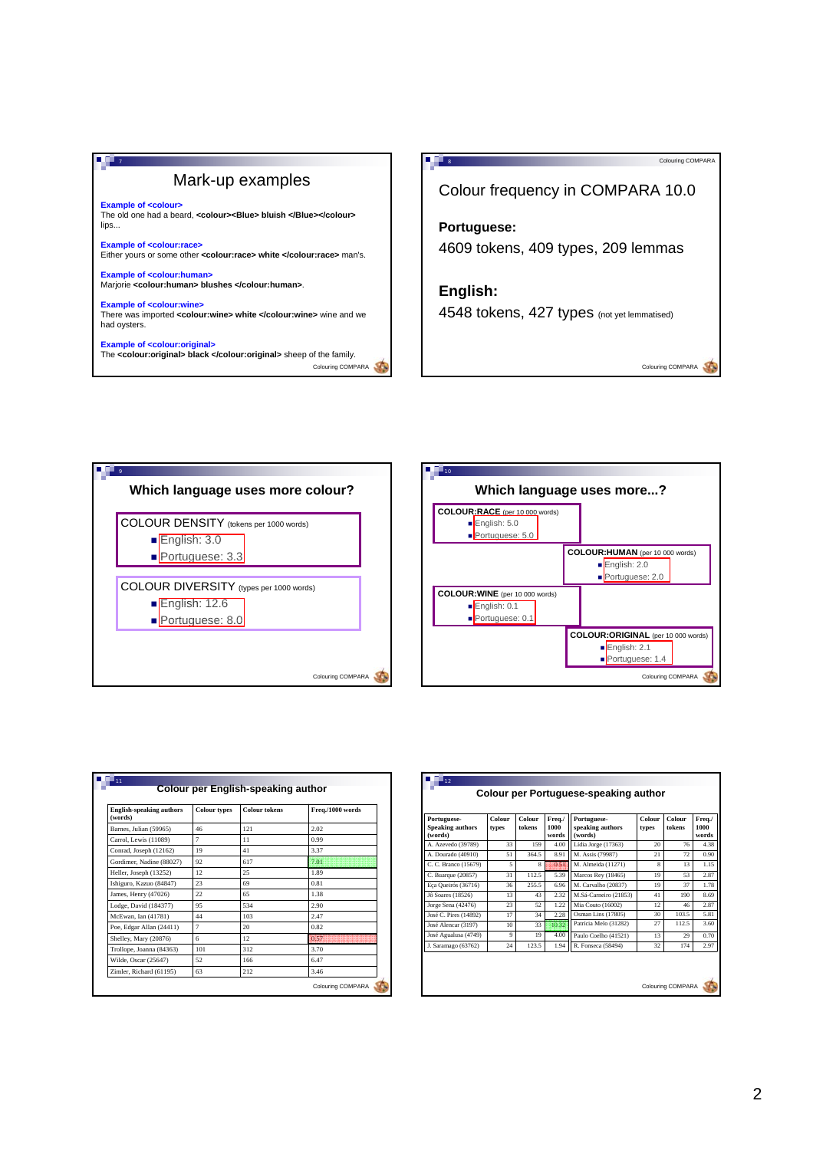## Mark-up examples

**7713** 

**Example of <colour>** The old one had a beard, **<colour><Blue> bluish </Blue></colour>** lips...

**Example of <colour:race>** Either yours or some other **<colour:race> white </colour:race>** man's.

**Example of <colour:human>** Marjorie **<colour:human> blushes </colour:human>**.

**Example of <colour:wine>** There was imported **<colour:wine> white </colour:wine>** wine and we had oysters.

Colouring COMPARA **Example of <colour:original>** The **<colour:original> black </colour:original>** sheep of the family.



4548 tokens, 427 types (not yet lemmatised)

Colouring COMPARA





| <b>English-speaking authors</b><br>(words) | <b>Colour types</b> | <b>Colour tokens</b> | Freq./1000 words<br>2.02 |  |
|--------------------------------------------|---------------------|----------------------|--------------------------|--|
| Barnes, Julian (59965)                     | 46                  | 121                  |                          |  |
| Carrol, Lewis (11089)                      | $\overline{7}$      | 11                   | 0.99                     |  |
| Conrad, Joseph (12162)                     | 19                  | 41                   | 3.37                     |  |
| Gordimer, Nadine (88027)                   | 92                  | 617                  | 7.01                     |  |
| Heller, Joseph (13252)                     | 12                  | 25                   | 1.89                     |  |
| Ishiguro, Kazuo (84847)                    | 23                  | 69                   | 0.81                     |  |
| James, Henry (47026)                       | 22                  | 65                   | 1.38                     |  |
| Lodge, David (184377)                      | 95                  | 534                  | 2.90                     |  |
| McEwan, Ian (41781)                        | 44                  | 103                  | 2.47                     |  |
| Poe, Edgar Allan (24411)                   | $\overline{7}$      | 20                   | 0.82                     |  |
| Shelley, Mary (20876)                      | 6                   | 12                   | 0.57                     |  |
| Trollope, Joanna (84363)                   | 101                 | 312                  | 3.70                     |  |
| Wilde, Oscar (25647)                       | 52                  | 166                  | 6.47                     |  |
| Zimler, Richard (61195)                    | 63                  | 212                  | 3.46                     |  |

| Portuguese-<br><b>Speaking authors</b> | Colour<br>types | Colour<br>tokens | Freq./<br>1000 | Portuguese-<br>speaking authors | Colour<br>types | Colour<br>tokens | Freq./<br>1000 |
|----------------------------------------|-----------------|------------------|----------------|---------------------------------|-----------------|------------------|----------------|
| (words)                                |                 |                  | words          | (words)                         |                 |                  | words          |
| A. Azevedo (39789)                     | 33              | 159              | 4.00           | Lídia Jorge (17363)             | 20              | 76               | 4.38           |
| A. Dourado (40910)                     | 51              | 364.5            | 8.91           | M. Assis (79987)                | 21              | 72               | 0.90           |
| C. C. Branco (15679)                   | 5               | 8                | 4151           | M. Almeida (11271)              | $\mathbf{8}$    | 13               | 1.15           |
| C. Buarque (20857)                     | 31              | 112.5            | 5.39           | Marcos Rey (18465)              | 19              | 53               | 2.87           |
| Eça Queirós (36716)                    | 36              | 255.5            | 6.96           | M. Carvalho (20837)             | 19              | 37               | 1.78           |
| Jô Soares (18526)                      | 13              | 43               | 2.32           | M.Sá-Carneiro (21853)           | 41              | 190              | 8.69           |
| Jorge Sena (42476)                     | 23              | 52               | 1.22           | Mia Couto (16002)               | 12              | 46               | 2.87           |
| José C. Pires (14892)                  | 17              | 34               | 2.28           | Osman Lins (17805)              | 30              | 103.5            | 5.81           |
| José Alencar (3197)                    | 10              | 33               | 1032           | Patrícia Melo (31282)           | 27              | 112.5            | 3.60           |
| José Agualusa (4749)                   | 9               | 19               | 4.00           | Paulo Coelho (41521)            | 13              | 29               | 0.70           |
| J. Saramago (63762)                    | 24              | 123.5            | 1.94           | R. Fonseca (58494)              | 32              | 174              | 2.97           |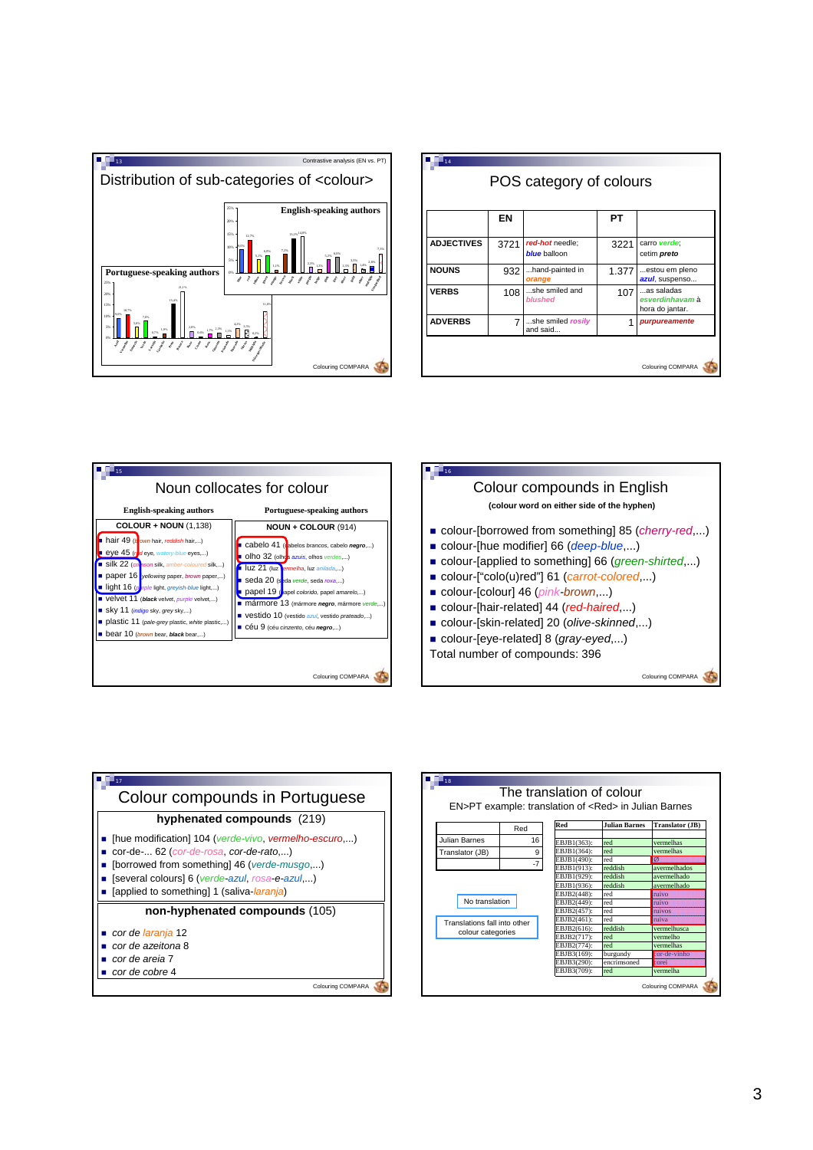

|                   | ΕN   |                                        | PТ    |                                                  |
|-------------------|------|----------------------------------------|-------|--------------------------------------------------|
| <b>ADJECTIVES</b> | 3721 | red-hot needle;<br><b>blue</b> balloon | 3221  | carro verde:<br>cetim preto                      |
| <b>NOUNS</b>      | 932  | hand-painted in<br>orange              | 1.377 | estou em pleno<br>azul, suspenso                 |
| <b>VERBS</b>      | 108  | she smiled and<br><b>blushed</b>       | 107   | as saladas<br>esverdinhavam à<br>hora do jantar. |
| <b>ADVERBS</b>    | 7    | she smiled rosily<br>and said          | 1     | purpureamente                                    |